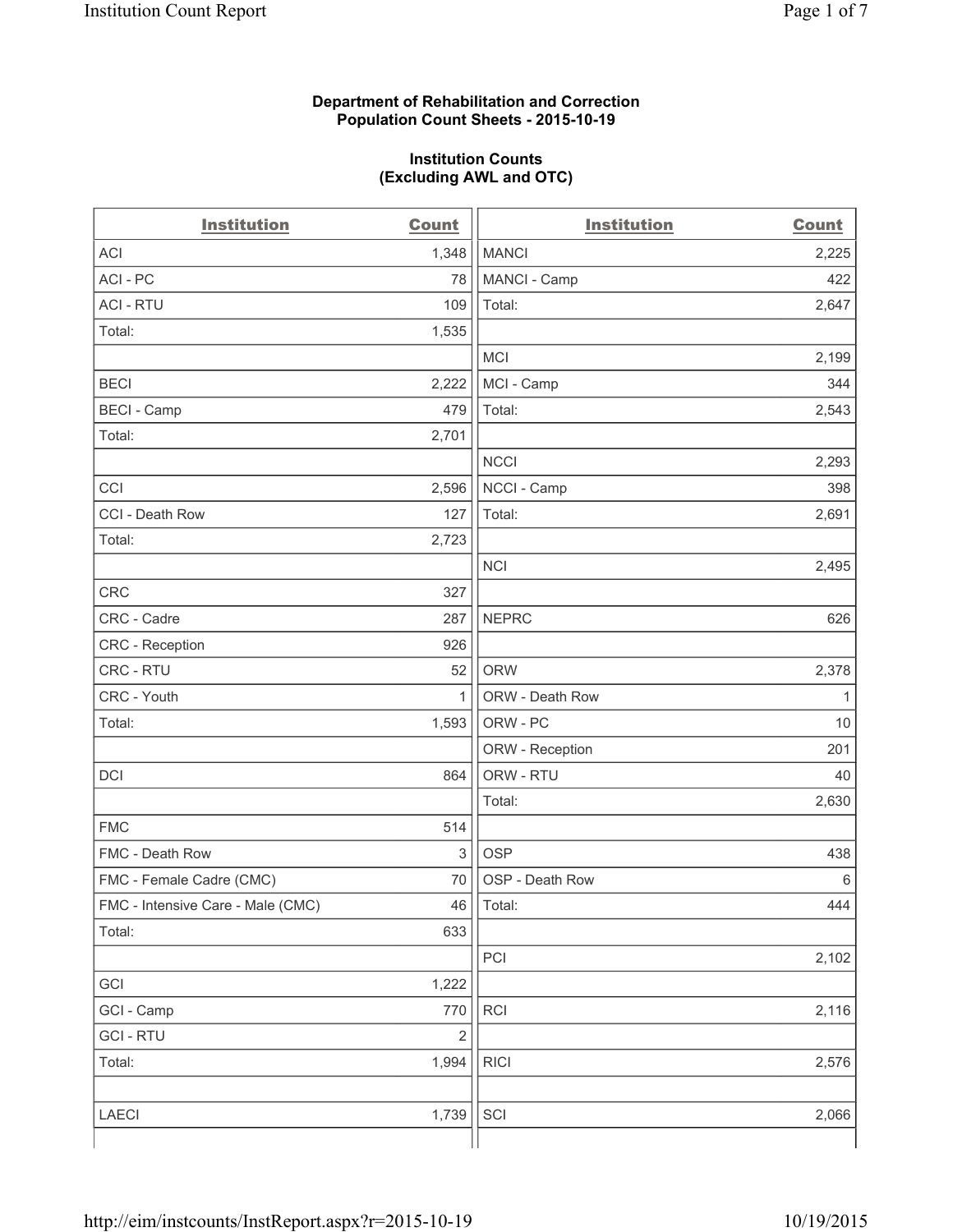#### **Department of Rehabilitation and Correction Population Count Sheets - 2015-10-19**

#### **Institution Counts (Excluding AWL and OTC)**

| <b>Institution</b>                | <b>Count</b> | <b>Institution</b> | <b>Count</b> |
|-----------------------------------|--------------|--------------------|--------------|
| <b>ACI</b>                        | 1,348        | <b>MANCI</b>       | 2,225        |
| ACI - PC                          | 78           | MANCI - Camp       | 422          |
| <b>ACI - RTU</b>                  | 109          | Total:             | 2,647        |
| Total:                            | 1,535        |                    |              |
|                                   |              | <b>MCI</b>         | 2,199        |
| <b>BECI</b>                       | 2,222        | MCI - Camp         | 344          |
| <b>BECI - Camp</b>                | 479          | Total:             | 2,543        |
| Total:                            | 2,701        |                    |              |
|                                   |              | <b>NCCI</b>        | 2,293        |
| CCI                               | 2,596        | NCCI - Camp        | 398          |
| CCI - Death Row                   | 127          | Total:             | 2,691        |
| Total:                            | 2,723        |                    |              |
|                                   |              | <b>NCI</b>         | 2,495        |
| <b>CRC</b>                        | 327          |                    |              |
| CRC - Cadre                       | 287          | <b>NEPRC</b>       | 626          |
| CRC - Reception                   | 926          |                    |              |
| CRC - RTU                         | 52           | <b>ORW</b>         | 2,378        |
| CRC - Youth                       | $\mathbf{1}$ | ORW - Death Row    | $\mathbf{1}$ |
| Total:                            | 1,593        | ORW - PC           | 10           |
|                                   |              | ORW - Reception    | 201          |
| DCI                               | 864          | ORW - RTU          | 40           |
|                                   |              | Total:             | 2,630        |
| <b>FMC</b>                        | 514          |                    |              |
| FMC - Death Row                   | $\mathsf 3$  | <b>OSP</b>         | 438          |
| FMC - Female Cadre (CMC)          | 70           | OSP - Death Row    | 6            |
| FMC - Intensive Care - Male (CMC) |              | $46$   Total:      | 444          |
| Total:                            | 633          |                    |              |
|                                   |              | PCI                | 2,102        |
| GCI                               | 1,222        |                    |              |
| GCI - Camp                        | 770          | <b>RCI</b>         | 2,116        |
| <b>GCI - RTU</b>                  | $\sqrt{2}$   |                    |              |
| Total:                            | 1,994        | <b>RICI</b>        | 2,576        |
|                                   |              |                    |              |
| LAECI                             | 1,739        | SCI                | 2,066        |
|                                   |              |                    |              |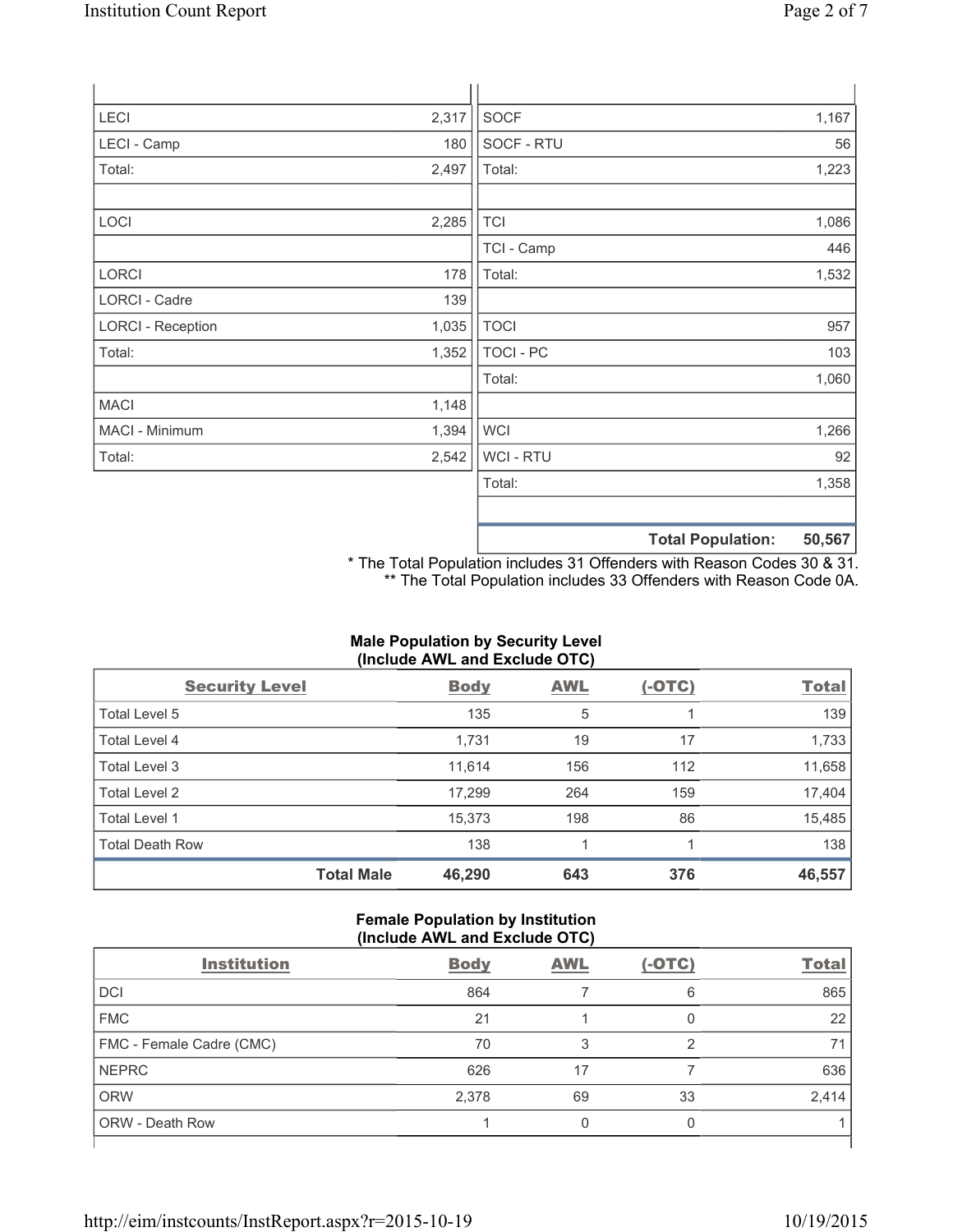| <b>LECI</b>              | 2,317 | <b>SOCF</b>      |                          | 1,167  |
|--------------------------|-------|------------------|--------------------------|--------|
| LECI - Camp              | 180   | SOCF - RTU       |                          | 56     |
| Total:                   | 2,497 | Total:           |                          | 1,223  |
| LOCI                     | 2,285 | <b>TCI</b>       |                          | 1,086  |
|                          |       | TCI - Camp       |                          | 446    |
| <b>LORCI</b>             | 178   | Total:           |                          | 1,532  |
| LORCI - Cadre            | 139   |                  |                          |        |
| <b>LORCI - Reception</b> | 1,035 | <b>TOCI</b>      |                          | 957    |
| Total:                   | 1,352 | <b>TOCI - PC</b> |                          | 103    |
|                          |       | Total:           |                          | 1,060  |
| <b>MACI</b>              | 1,148 |                  |                          |        |
| MACI - Minimum           | 1,394 | <b>WCI</b>       |                          | 1,266  |
| Total:                   | 2,542 | WCI - RTU        |                          | 92     |
|                          |       | Total:           |                          | 1,358  |
|                          |       |                  | <b>Total Population:</b> | 50,567 |

\* The Total Population includes 31 Offenders with Reason Codes 30 & 31. \*\* The Total Population includes 33 Offenders with Reason Code 0A.

# **Male Population by Security Level (Include AWL and Exclude OTC)**

| <b>Security Level</b>  |                   | <b>Body</b> | <b>AWL</b> | $(-OTC)$ | <b>Total</b> |
|------------------------|-------------------|-------------|------------|----------|--------------|
| Total Level 5          |                   | 135         | 5          |          | 139          |
| <b>Total Level 4</b>   |                   | 1,731       | 19         | 17       | 1,733        |
| Total Level 3          |                   | 11,614      | 156        | 112      | 11,658       |
| Total Level 2          |                   | 17,299      | 264        | 159      | 17,404       |
| Total Level 1          |                   | 15,373      | 198        | 86       | 15,485       |
| <b>Total Death Row</b> |                   | 138         | 1          |          | 138          |
|                        | <b>Total Male</b> | 46,290      | 643        | 376      | 46,557       |

### **Female Population by Institution (Include AWL and Exclude OTC)**

| <b>Institution</b>       | <b>Body</b> | <b>AWL</b> | $(-OTC)$ | <b>Total</b> |
|--------------------------|-------------|------------|----------|--------------|
| <b>DCI</b>               | 864         |            | 6        | 865          |
| <b>FMC</b>               | 21          |            |          | 22           |
| FMC - Female Cadre (CMC) | 70          |            | 2        | 71           |
| <b>NEPRC</b>             | 626         | 17         |          | 636          |
| <b>ORW</b>               | 2,378       | 69         | 33       | 2,414        |
| <b>ORW - Death Row</b>   |             | 0          | 0        |              |
|                          |             |            |          |              |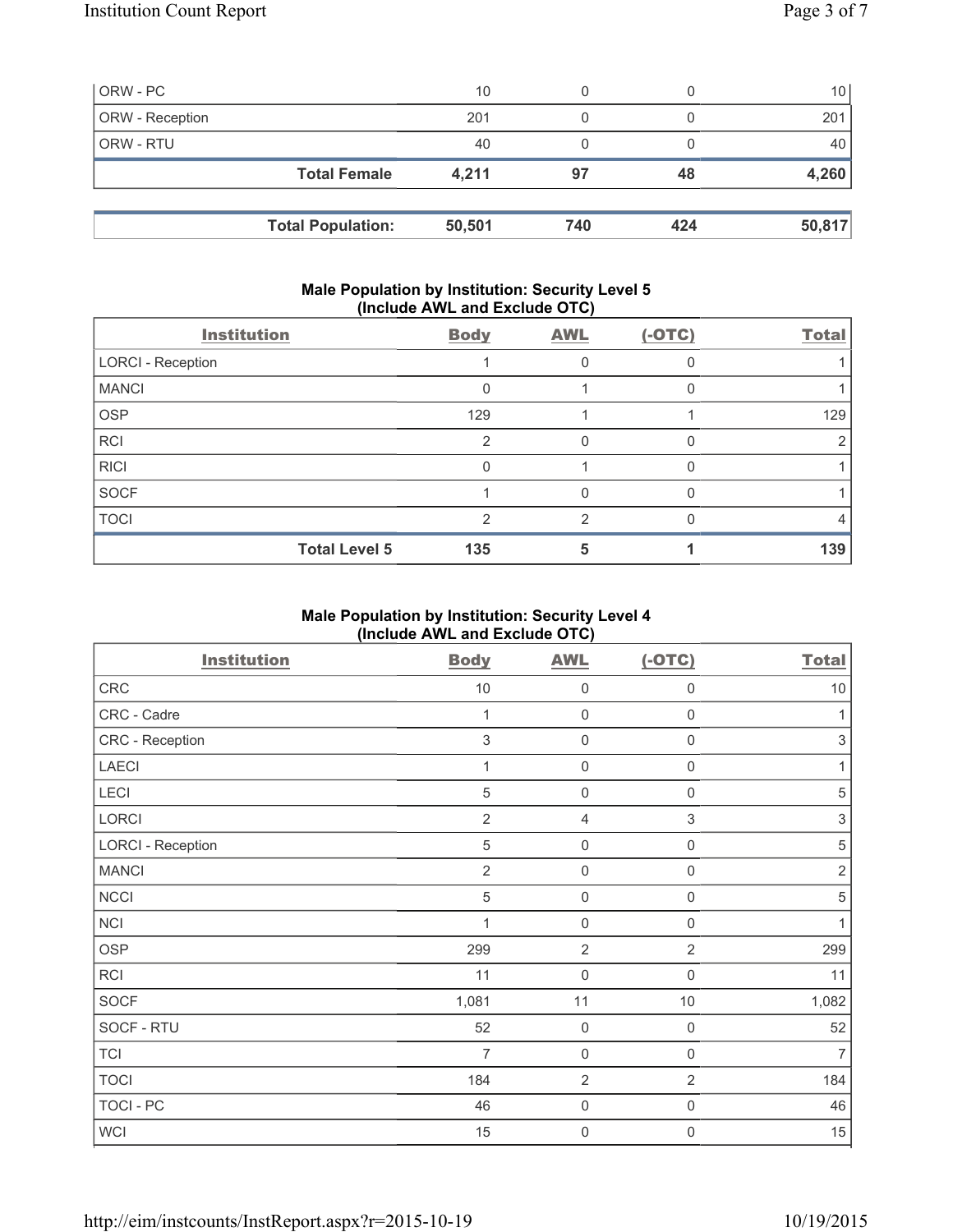| ORW - PC        |                          | 10     | 0   |     | 10 <sub>1</sub> |
|-----------------|--------------------------|--------|-----|-----|-----------------|
| ORW - Reception |                          | 201    | 0   |     | 201             |
| ORW - RTU       |                          | 40     | 0   |     | 40              |
|                 | <b>Total Female</b>      | 4,211  | 97  | 48  | 4,260           |
|                 |                          |        |     |     |                 |
|                 | <b>Total Population:</b> | 50,501 | 740 | 424 | 50,817          |

### **Male Population by Institution: Security Level 5 (Include AWL and Exclude OTC)**

| <b>Institution</b>       | <b>Body</b> | <b>AWL</b>    | $(-OTC)$ | <b>Total</b> |
|--------------------------|-------------|---------------|----------|--------------|
| <b>LORCI - Reception</b> |             | 0             |          |              |
| <b>MANCI</b>             | O           |               |          |              |
| <b>OSP</b>               | 129         |               |          | 129          |
| <b>RCI</b>               | 2           | 0             |          |              |
| <b>RICI</b>              |             |               |          |              |
| SOCF                     |             | 0             |          |              |
| <b>TOCI</b>              | っ           | $\mathcal{P}$ |          | 4            |
| <b>Total Level 5</b>     | 135         | 5             |          | 139          |

# **Male Population by Institution: Security Level 4 (Include AWL and Exclude OTC)**

| <b>Institution</b>       | <b>Body</b>    | <b>AWL</b>     | $(-OTC)$       | <b>Total</b>   |
|--------------------------|----------------|----------------|----------------|----------------|
| ${\sf CRC}$              | $10$           | $\mathbf 0$    | 0              | $10$           |
| CRC - Cadre              | 1              | $\mathbf 0$    | 0              | 1              |
| CRC - Reception          | $\sqrt{3}$     | $\mathbf 0$    | $\mathbf 0$    | $\sqrt{3}$     |
| LAECI                    | 1              | $\mathbf 0$    | $\mathbf 0$    | 1              |
| LECI                     | $\sqrt{5}$     | $\mathbf 0$    | $\mathsf 0$    | $\sqrt{5}$     |
| LORCI                    | $\overline{2}$ | $\overline{4}$ | 3              | $\sqrt{3}$     |
| <b>LORCI - Reception</b> | $\sqrt{5}$     | $\mathbf 0$    | $\mathsf 0$    | $\,$ 5 $\,$    |
| <b>MANCI</b>             | $\overline{2}$ | $\mathbf 0$    | $\mathsf 0$    | $\sqrt{2}$     |
| <b>NCCI</b>              | $\sqrt{5}$     | $\mathbf 0$    | $\mathsf 0$    | $\,$ 5 $\,$    |
| <b>NCI</b>               | 1              | $\mathbf 0$    | $\mathsf 0$    | 1              |
| <b>OSP</b>               | 299            | $\overline{2}$ | $\overline{2}$ | 299            |
| RCI                      | 11             | $\mathbf 0$    | $\mathbf 0$    | 11             |
| SOCF                     | 1,081          | 11             | $10$           | 1,082          |
| SOCF - RTU               | 52             | $\mathbf 0$    | $\mathsf 0$    | 52             |
| <b>TCI</b>               | $\overline{7}$ | $\mathbf 0$    | $\mathbf 0$    | $\overline{7}$ |
| <b>TOCI</b>              | 184            | $\overline{2}$ | $\overline{2}$ | 184            |
| TOCI - PC                | 46             | $\mathbf 0$    | $\mathsf 0$    | 46             |
| <b>WCI</b>               | 15             | $\mathbf 0$    | 0              | 15             |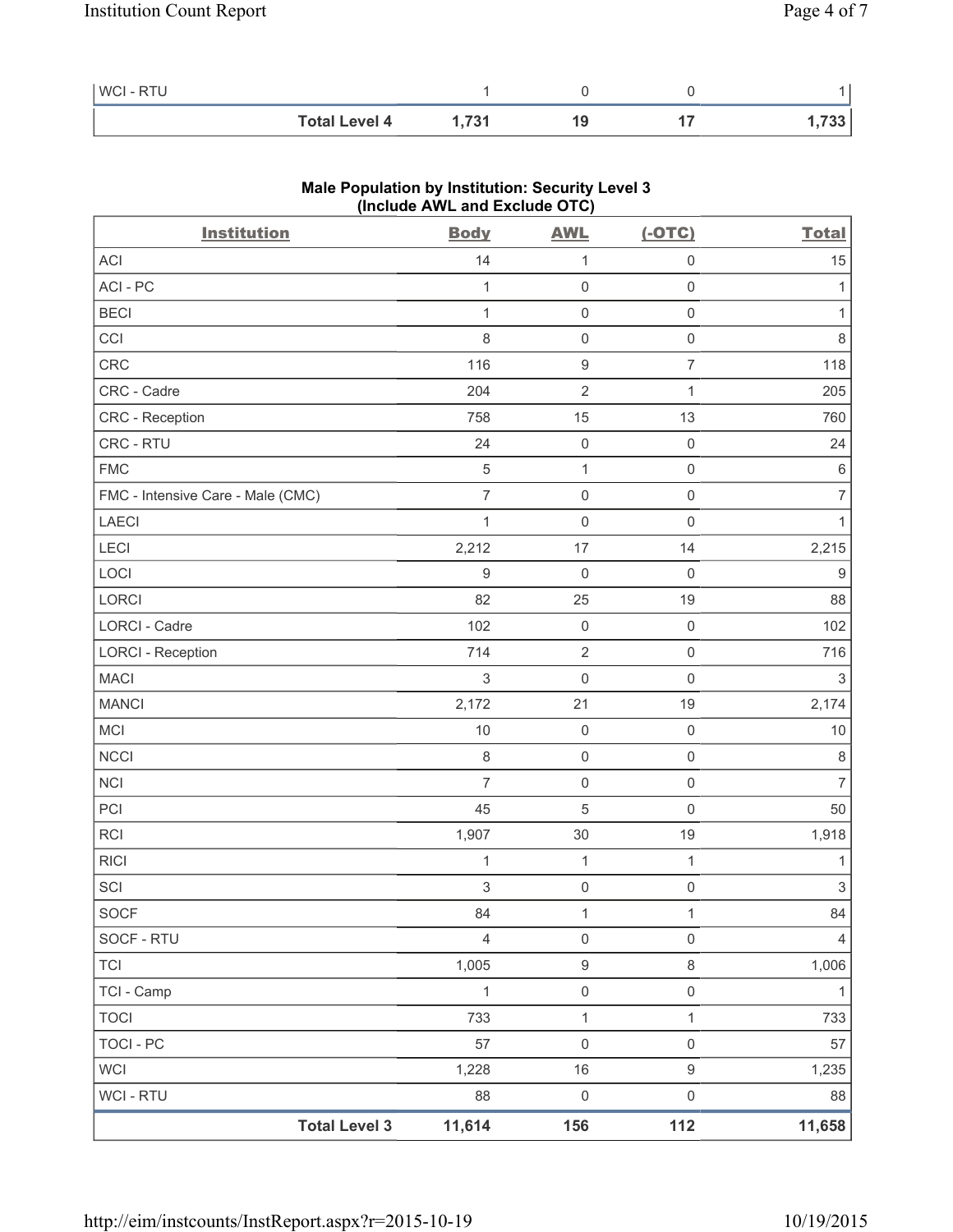| <b>WCI-RTU</b> |                      |       |  |      |
|----------------|----------------------|-------|--|------|
|                | <b>Total Level 4</b> | 1.731 |  | 733. |

| <b>Institution</b>                | $($ melude $\overline{A}$ ive and exclude $\overline{O}$ iv $\overline{O}$<br><b>Body</b> | <b>AWL</b>          | $(-OTC)$            | <b>Total</b>              |
|-----------------------------------|-------------------------------------------------------------------------------------------|---------------------|---------------------|---------------------------|
| ACI                               | 14                                                                                        | 1                   | $\mathsf 0$         | 15                        |
| ACI - PC                          | 1                                                                                         | $\mathsf{O}\xspace$ | $\mathsf 0$         | 1                         |
| <b>BECI</b>                       | 1                                                                                         | $\mathsf{O}\xspace$ | $\mathsf{O}\xspace$ | 1                         |
| CCI                               | $\,8\,$                                                                                   | $\mathsf{O}\xspace$ | $\mathsf{O}\xspace$ | 8                         |
| CRC                               | 116                                                                                       | $\boldsymbol{9}$    | $\overline{7}$      | 118                       |
| CRC - Cadre                       | 204                                                                                       | $\sqrt{2}$          | 1                   | 205                       |
| CRC - Reception                   | 758                                                                                       | 15                  | 13                  | 760                       |
| CRC - RTU                         | 24                                                                                        | $\mathsf{O}\xspace$ | $\mathsf{O}\xspace$ | 24                        |
| <b>FMC</b>                        | $\sqrt{5}$                                                                                | $\mathbf{1}$        | $\mathsf 0$         | $\,6\,$                   |
| FMC - Intensive Care - Male (CMC) | $\overline{7}$                                                                            | $\mathsf{O}\xspace$ | $\mathsf 0$         | $\overline{7}$            |
| <b>LAECI</b>                      | $\mathbf{1}$                                                                              | $\mathsf{O}\xspace$ | $\mathsf{O}\xspace$ | 1                         |
| LECI                              | 2,212                                                                                     | 17                  | 14                  | 2,215                     |
| LOCI                              | $\boldsymbol{9}$                                                                          | $\mathbf 0$         | $\mathsf{O}\xspace$ | 9                         |
| LORCI                             | 82                                                                                        | 25                  | 19                  | 88                        |
| LORCI - Cadre                     | 102                                                                                       | $\mathsf{O}\xspace$ | $\mathsf{O}\xspace$ | 102                       |
| <b>LORCI - Reception</b>          | 714                                                                                       | $\sqrt{2}$          | $\mathsf 0$         | 716                       |
| <b>MACI</b>                       | $\,$ 3 $\,$                                                                               | $\mathbf 0$         | $\mathbf 0$         | $\ensuremath{\mathsf{3}}$ |
| <b>MANCI</b>                      | 2,172                                                                                     | 21                  | 19                  | 2,174                     |
| MCI                               | $10$                                                                                      | $\mathsf{O}\xspace$ | $\mathsf{O}\xspace$ | $10$                      |
| <b>NCCI</b>                       | $\,8\,$                                                                                   | $\mathsf{O}\xspace$ | $\mathsf 0$         | $\,8\,$                   |
| <b>NCI</b>                        | $\overline{7}$                                                                            | $\mathsf{O}\xspace$ | $\mathsf 0$         | $\overline{7}$            |
| PCI                               | 45                                                                                        | $\sqrt{5}$          | $\mathbf 0$         | 50                        |
| <b>RCI</b>                        | 1,907                                                                                     | 30                  | 19                  | 1,918                     |
| <b>RICI</b>                       | $\mathbf{1}$                                                                              | $\mathbf{1}$        | $\mathbf{1}$        | $\mathbf{1}$              |
| SCI                               | $\mathsf 3$                                                                               | $\mathsf{O}\xspace$ | $\mathsf 0$         | $\ensuremath{\mathsf{3}}$ |
| <b>SOCF</b>                       | 84                                                                                        | 1                   | $\mathbf{1}$        | 84                        |
| SOCF - RTU                        | $\overline{4}$                                                                            | $\mathsf{O}\xspace$ | $\mathsf 0$         | 4                         |
| <b>TCI</b>                        | 1,005                                                                                     | $\boldsymbol{9}$    | $\,8\,$             | 1,006                     |
| TCI - Camp                        | $\mathbf{1}$                                                                              | $\mathsf{O}\xspace$ | $\mathsf{O}\xspace$ | $\mathbf{1}$              |
| <b>TOCI</b>                       | 733                                                                                       | $\mathbf 1$         | 1                   | 733                       |
| <b>TOCI - PC</b>                  | 57                                                                                        | $\mathsf 0$         | $\mathsf{O}\xspace$ | 57                        |
| <b>WCI</b>                        | 1,228                                                                                     | 16                  | $\mathsf g$         | 1,235                     |
| WCI - RTU                         | 88                                                                                        | $\mathsf{O}\xspace$ | $\mathsf{O}\xspace$ | 88                        |
| <b>Total Level 3</b>              | 11,614                                                                                    | 156                 | 112                 | 11,658                    |

# **Male Population by Institution: Security Level 3 (Include AWL and Exclude OTC)**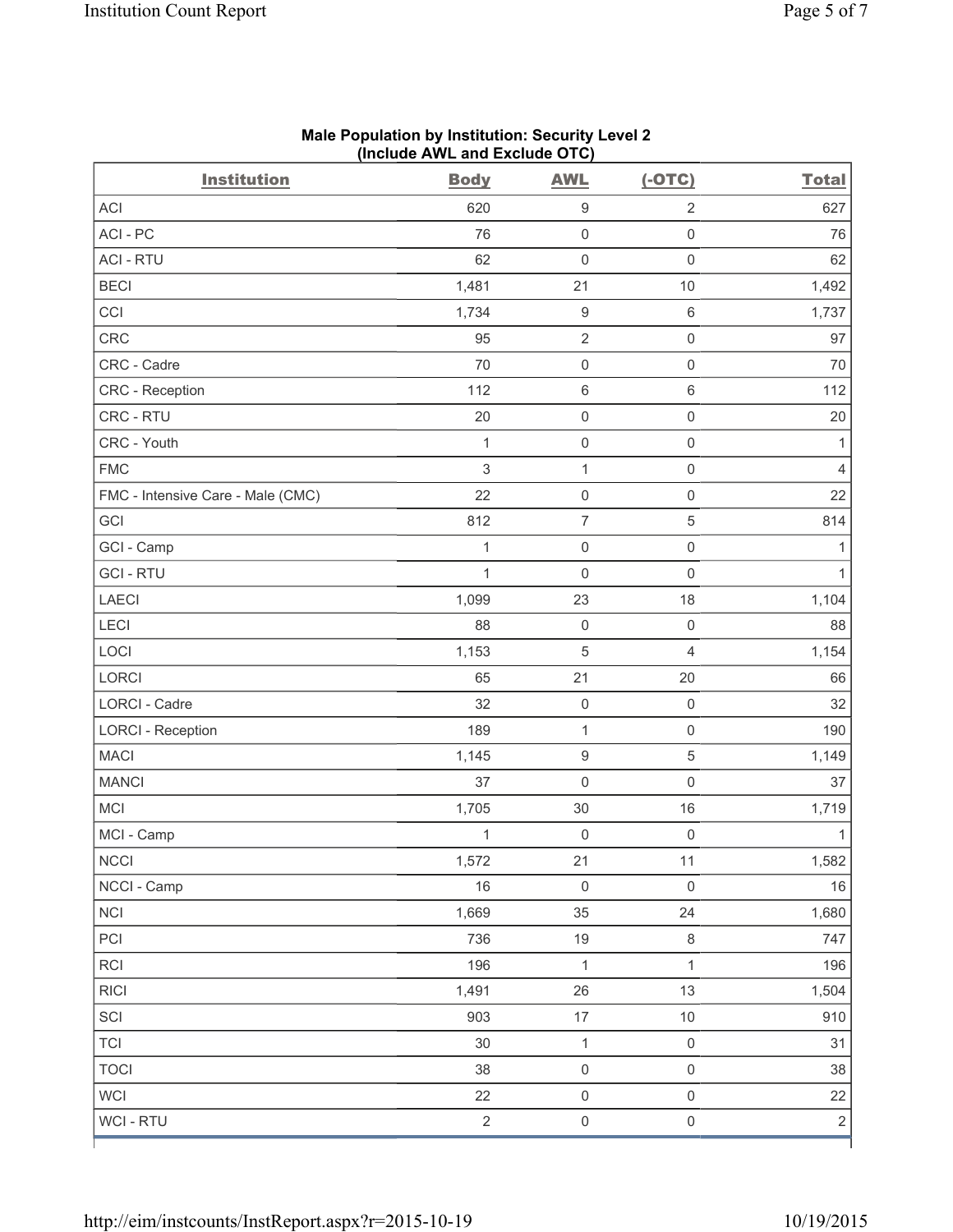| <b>Institution</b>                | <b>Body</b>  | <b>AWL</b>          | $(-OTC)$            | <b>Total</b>   |
|-----------------------------------|--------------|---------------------|---------------------|----------------|
| <b>ACI</b>                        | 620          | $\boldsymbol{9}$    | $\sqrt{2}$          | 627            |
| ACI-PC                            | 76           | $\mathsf 0$         | $\mathsf 0$         | 76             |
| <b>ACI - RTU</b>                  | 62           | $\mathsf{O}\xspace$ | $\mathsf{O}\xspace$ | 62             |
| <b>BECI</b>                       | 1,481        | 21                  | 10                  | 1,492          |
| CCI                               | 1,734        | $\boldsymbol{9}$    | $\,6\,$             | 1,737          |
| <b>CRC</b>                        | 95           | $\overline{2}$      | $\mathsf{O}\xspace$ | 97             |
| CRC - Cadre                       | 70           | $\mathsf{O}\xspace$ | $\mathsf{O}\xspace$ | 70             |
| CRC - Reception                   | 112          | $\,6\,$             | $\,6\,$             | 112            |
| CRC - RTU                         | 20           | $\mathsf{O}\xspace$ | $\mathsf{O}\xspace$ | 20             |
| CRC - Youth                       | $\mathbf{1}$ | $\mathsf{O}\xspace$ | $\mathsf{O}\xspace$ | 1              |
| <b>FMC</b>                        | $\sqrt{3}$   | $\mathbf{1}$        | $\mathsf{O}\xspace$ | 4              |
| FMC - Intensive Care - Male (CMC) | 22           | $\mathsf{O}\xspace$ | $\mathsf{O}\xspace$ | 22             |
| GCI                               | 812          | $\overline{7}$      | $\,$ 5 $\,$         | 814            |
| GCI - Camp                        | 1            | $\mathsf{O}\xspace$ | $\mathsf{O}\xspace$ | 1              |
| <b>GCI-RTU</b>                    | $\mathbf 1$  | $\mathsf 0$         | $\mathsf{O}\xspace$ | 1              |
| <b>LAECI</b>                      | 1,099        | 23                  | 18                  | 1,104          |
| LECI                              | 88           | $\mathsf 0$         | $\mathsf{O}\xspace$ | 88             |
| LOCI                              | 1,153        | $\mathbf 5$         | $\overline{4}$      | 1,154          |
| LORCI                             | 65           | 21                  | 20                  | 66             |
| LORCI - Cadre                     | 32           | $\mathsf{O}\xspace$ | $\mathbf 0$         | 32             |
| <b>LORCI - Reception</b>          | 189          | $\mathbf{1}$        | $\mathbf 0$         | 190            |
| <b>MACI</b>                       | 1,145        | $\hbox{9}$          | $\sqrt{5}$          | 1,149          |
| <b>MANCI</b>                      | 37           | $\mathsf{O}\xspace$ | $\mathsf{O}\xspace$ | 37             |
| MCI                               | 1,705        | 30                  | 16                  | 1,719          |
| MCI - Camp                        | $\mathbf 1$  | $\mathsf{O}\xspace$ | $\mathsf 0$         | 1              |
| <b>NCCI</b>                       | 1,572        | 21                  | 11                  | 1,582          |
| NCCI - Camp                       | 16           | $\mathsf{O}\xspace$ | $\mathsf{O}\xspace$ | 16             |
| <b>NCI</b>                        | 1,669        | 35                  | 24                  | 1,680          |
| PCI                               | 736          | 19                  | $\,8\,$             | 747            |
| RCI                               | 196          | $\mathbf{1}$        | $\mathbf{1}$        | 196            |
| <b>RICI</b>                       | 1,491        | 26                  | 13                  | 1,504          |
| SCI                               | 903          | $17\,$              | $10$                | 910            |
| <b>TCI</b>                        | 30           | $\mathbf{1}$        | $\mathbf 0$         | 31             |
| <b>TOCI</b>                       | 38           | $\mathsf{O}\xspace$ | $\mathsf{O}\xspace$ | 38             |
| <b>WCI</b>                        | 22           | $\mathsf{O}\xspace$ | $\mathsf{O}\xspace$ | 22             |
| WCI - RTU                         | $\sqrt{2}$   | $\mathsf{O}\xspace$ | $\mathsf{O}\xspace$ | $\overline{2}$ |

#### **Male Population by Institution: Security Level 2 (Include AWL and Exclude OTC)**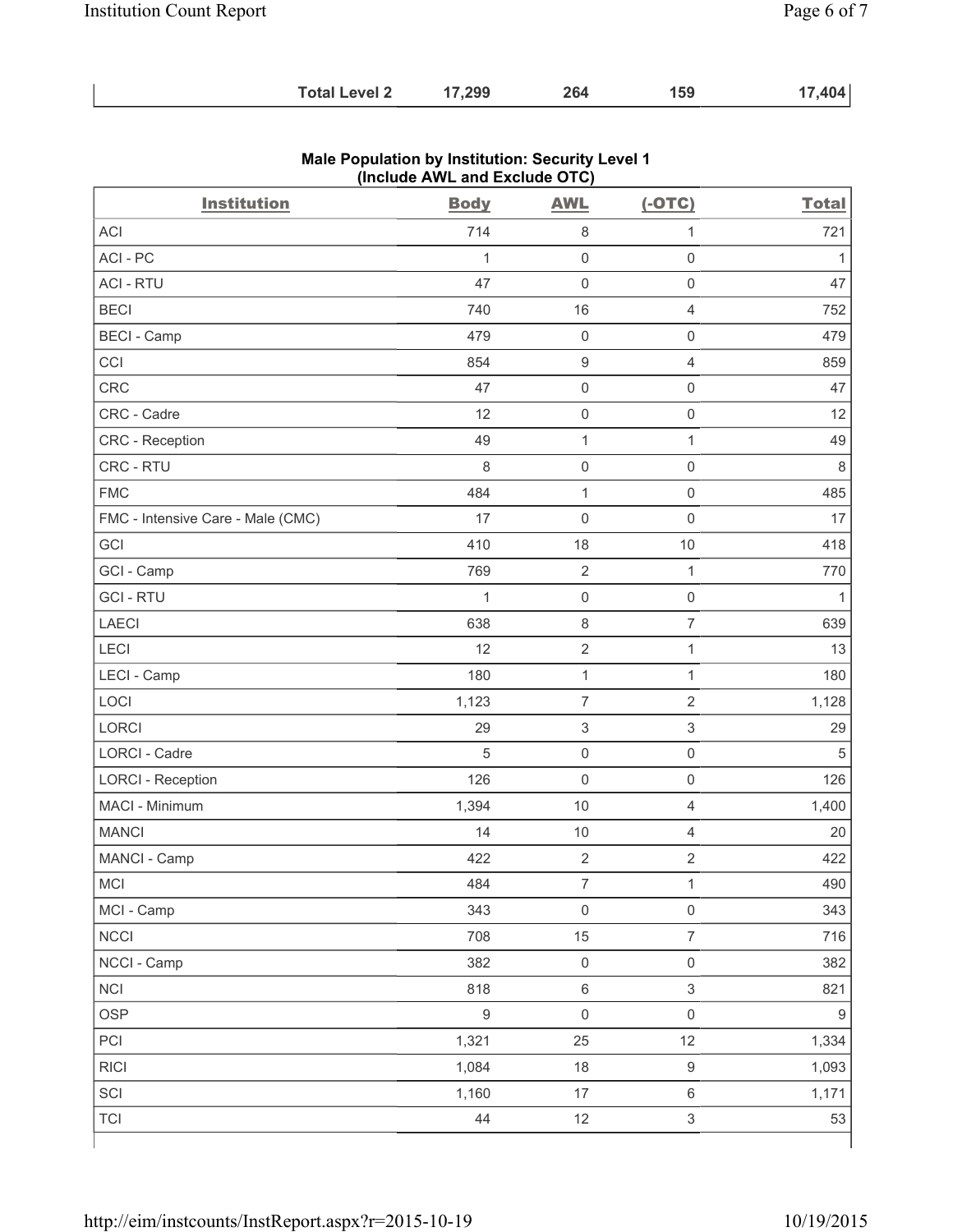| 17,299<br><b>Total Level 2</b> | 264 | 159 | 17,404 |
|--------------------------------|-----|-----|--------|
|--------------------------------|-----|-----|--------|

| <b>Institution</b>                | <b>Body</b>  | <b>AWL</b>                | $(-OTC)$                  | <b>Total</b>     |
|-----------------------------------|--------------|---------------------------|---------------------------|------------------|
| <b>ACI</b>                        | 714          | $\,8\,$                   | $\mathbf{1}$              | 721              |
| ACI - PC                          | $\mathbf{1}$ | $\mathbf 0$               | $\mathsf{O}\xspace$       | $\mathbf{1}$     |
| <b>ACI - RTU</b>                  | 47           | $\mathbf 0$               | $\mathsf 0$               | 47               |
| <b>BECI</b>                       | 740          | 16                        | 4                         | 752              |
| <b>BECI - Camp</b>                | 479          | $\mathbf 0$               | $\mathbf 0$               | 479              |
| CCI                               | 854          | $\boldsymbol{9}$          | $\overline{4}$            | 859              |
| CRC                               | 47           | $\mathsf{O}\xspace$       | $\mathbf 0$               | 47               |
| CRC - Cadre                       | 12           | $\mathsf{O}\xspace$       | $\mathsf 0$               | 12               |
| CRC - Reception                   | 49           | $\mathbf 1$               | 1                         | 49               |
| CRC - RTU                         | 8            | $\mathsf{O}\xspace$       | $\mathsf{O}\xspace$       | 8                |
| <b>FMC</b>                        | 484          | $\mathbf{1}$              | $\mathsf{O}\xspace$       | 485              |
| FMC - Intensive Care - Male (CMC) | 17           | $\mathbf 0$               | $\mathbf 0$               | 17               |
| GCI                               | 410          | 18                        | 10                        | 418              |
| GCI - Camp                        | 769          | $\mathbf 2$               | $\mathbf{1}$              | 770              |
| <b>GCI-RTU</b>                    | $\mathbf{1}$ | $\mathbf 0$               | $\mathsf 0$               | 1                |
| <b>LAECI</b>                      | 638          | 8                         | $\overline{7}$            | 639              |
| LECI                              | 12           | $\sqrt{2}$                | $\mathbf{1}$              | 13               |
| LECI - Camp                       | 180          | $\mathbf 1$               | $\mathbf{1}$              | 180              |
| LOCI                              | 1,123        | $\overline{7}$            | $\overline{2}$            | 1,128            |
| <b>LORCI</b>                      | 29           | $\ensuremath{\mathsf{3}}$ | $\mathfrak{S}$            | 29               |
| <b>LORCI - Cadre</b>              | 5            | $\mathsf{O}\xspace$       | $\mathsf 0$               | 5                |
| <b>LORCI - Reception</b>          | 126          | $\mathsf{O}\xspace$       | $\mathsf 0$               | 126              |
| MACI - Minimum                    | 1,394        | 10                        | $\overline{4}$            | 1,400            |
| <b>MANCI</b>                      | 14           | 10                        | $\overline{4}$            | 20               |
| MANCI - Camp                      | 422          | $\overline{2}$            | $\overline{2}$            | 422              |
| <b>MCI</b>                        | 484          | $\overline{\mathcal{I}}$  | $\mathbf{1}$              | 490              |
| MCI - Camp                        | 343          | $\mathsf 0$               | $\mathsf{O}\xspace$       | 343              |
| <b>NCCI</b>                       | 708          | 15                        | $\overline{\mathcal{I}}$  | 716              |
| NCCI - Camp                       | 382          | $\mathsf{O}\xspace$       | $\mathsf{O}\xspace$       | 382              |
| <b>NCI</b>                        | 818          | $\,6\,$                   | $\sqrt{3}$                | 821              |
| <b>OSP</b>                        | $\mathsf g$  | $\mathsf 0$               | $\mathsf 0$               | $\boldsymbol{9}$ |
| PCI                               | 1,321        | 25                        | 12                        | 1,334            |
| <b>RICI</b>                       | 1,084        | 18                        | $\boldsymbol{9}$          | 1,093            |
| SCI                               | 1,160        | 17                        | $\,6\,$                   | 1,171            |
| <b>TCI</b>                        | 44           | 12                        | $\ensuremath{\mathsf{3}}$ | 53               |

#### **Male Population by Institution: Security Level 1 (Include AWL and Exclude OTC)**